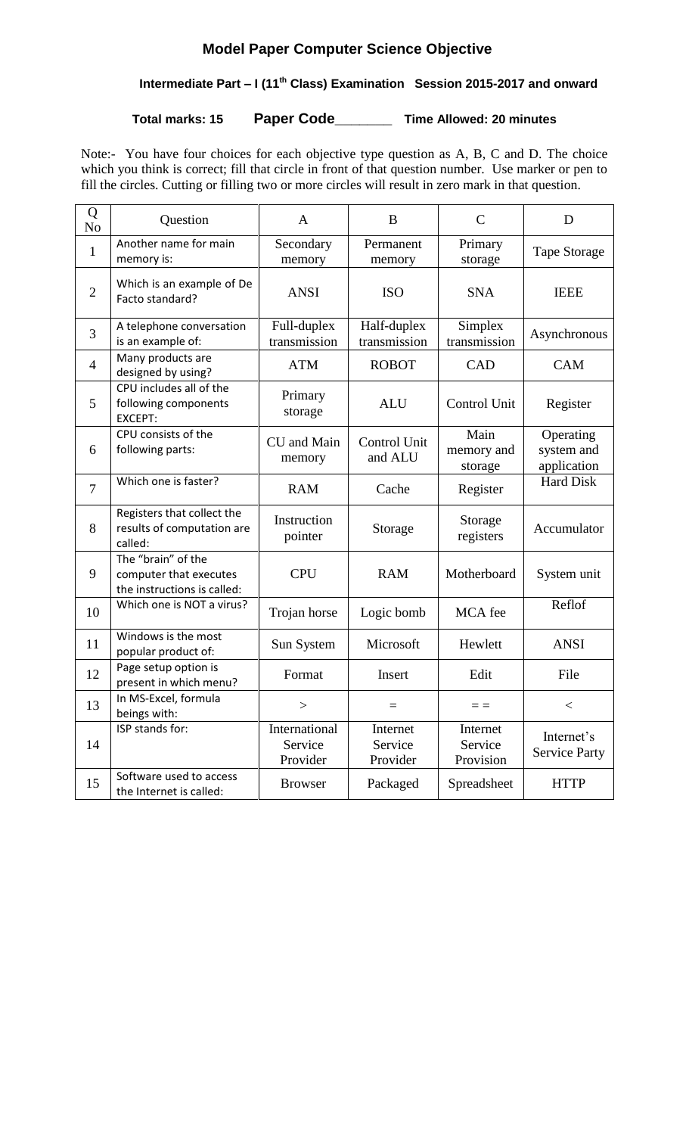# **Model Paper Computer Science Objective**

# **Intermediate Part – I (11th Class) Examination Session 2015-2017 and onward**

**Total marks: 15 Paper Code\_\_\_\_\_\_\_ Time Allowed: 20 minutes**

Note:- You have four choices for each objective type question as A, B, C and D. The choice which you think is correct; fill that circle in front of that question number. Use marker or pen to fill the circles. Cutting or filling two or more circles will result in zero mark in that question.

| Q<br>No        | Question                                                                    | $\mathbf{A}$                         | B                               | $\mathcal{C}$                    | D                                      |
|----------------|-----------------------------------------------------------------------------|--------------------------------------|---------------------------------|----------------------------------|----------------------------------------|
| $\mathbf{1}$   | Another name for main<br>memory is:                                         | Secondary<br>memory                  | Permanent<br>memory             | Primary<br>storage               | <b>Tape Storage</b>                    |
| $\overline{2}$ | Which is an example of De<br>Facto standard?                                | <b>ANSI</b>                          | <b>ISO</b>                      | <b>SNA</b>                       | <b>IEEE</b>                            |
| 3              | A telephone conversation<br>is an example of:                               | Full-duplex<br>transmission          | Half-duplex<br>transmission     | Simplex<br>transmission          | Asynchronous                           |
| $\overline{4}$ | Many products are<br>designed by using?                                     | <b>ATM</b>                           | <b>ROBOT</b>                    | <b>CAD</b>                       | <b>CAM</b>                             |
| 5              | CPU includes all of the<br>following components<br>EXCEPT:                  | Primary<br>storage                   | <b>ALU</b>                      | Control Unit                     | Register                               |
| 6              | CPU consists of the<br>following parts:                                     | CU and Main<br>memory                | Control Unit<br>and ALU         | Main<br>memory and<br>storage    | Operating<br>system and<br>application |
| $\overline{7}$ | Which one is faster?                                                        | <b>RAM</b>                           | Cache                           | Register                         | <b>Hard Disk</b>                       |
| 8              | Registers that collect the<br>results of computation are<br>called:         | Instruction<br>pointer               | Storage                         | Storage<br>registers             | Accumulator                            |
| 9              | The "brain" of the<br>computer that executes<br>the instructions is called: | <b>CPU</b>                           | <b>RAM</b>                      | Motherboard                      | System unit                            |
| 10             | Which one is NOT a virus?                                                   | Trojan horse                         | Logic bomb                      | MCA fee                          | Reflof                                 |
| 11             | Windows is the most<br>popular product of:                                  | Sun System                           | Microsoft                       | Hewlett                          | <b>ANSI</b>                            |
| 12             | Page setup option is<br>present in which menu?                              | Format                               | Insert                          | Edit                             | File                                   |
| 13             | In MS-Excel, formula<br>beings with:                                        | >                                    | $=$                             | $\equiv$ $\equiv$                | $\,<\,$                                |
| 14             | ISP stands for:                                                             | International<br>Service<br>Provider | Internet<br>Service<br>Provider | Internet<br>Service<br>Provision | Internet's<br><b>Service Party</b>     |
| 15             | Software used to access<br>the Internet is called:                          | <b>Browser</b>                       | Packaged                        | Spreadsheet                      | <b>HTTP</b>                            |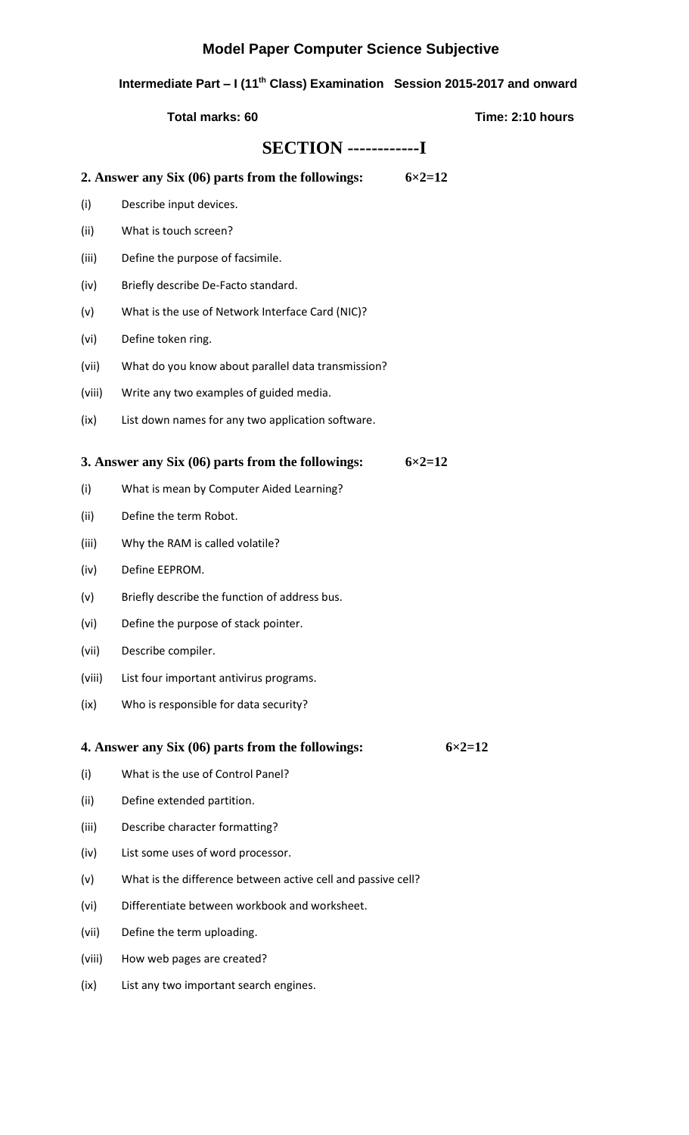## **Model Paper Computer Science Subjective**

 **Intermediate Part – I (11th Class) Examination Session 2015-2017 and onward**

 **Total marks: 60** Total marks: 60

## **SECTION ------------I**

**2. Answer any Six (06) parts from the followings: 6×2=12**

- (i) Describe input devices.
- (ii) What is touch screen?
- (iii) Define the purpose of facsimile.
- (iv) Briefly describe De-Facto standard.
- (v) What is the use of Network Interface Card (NIC)?
- (vi) Define token ring.
- (vii) What do you know about parallel data transmission?
- (viii) Write any two examples of guided media.
- (ix) List down names for any two application software.

### **3. Answer any Six (06) parts from the followings: 6×2=12**

- (i) What is mean by Computer Aided Learning?
- (ii) Define the term Robot.
- (iii) Why the RAM is called volatile?
- (iv) Define EEPROM.
- (v) Briefly describe the function of address bus.
- (vi) Define the purpose of stack pointer.
- (vii) Describe compiler.
- (viii) List four important antivirus programs.
- (ix) Who is responsible for data security?

### **4. Answer any Six (06) parts from the followings: 6×2=12**

- (i) What is the use of Control Panel?
- (ii) Define extended partition.
- (iii) Describe character formatting?
- (iv) List some uses of word processor.
- (v) What is the difference between active cell and passive cell?
- (vi) Differentiate between workbook and worksheet.
- (vii) Define the term uploading.
- (viii) How web pages are created?
- (ix) List any two important search engines.